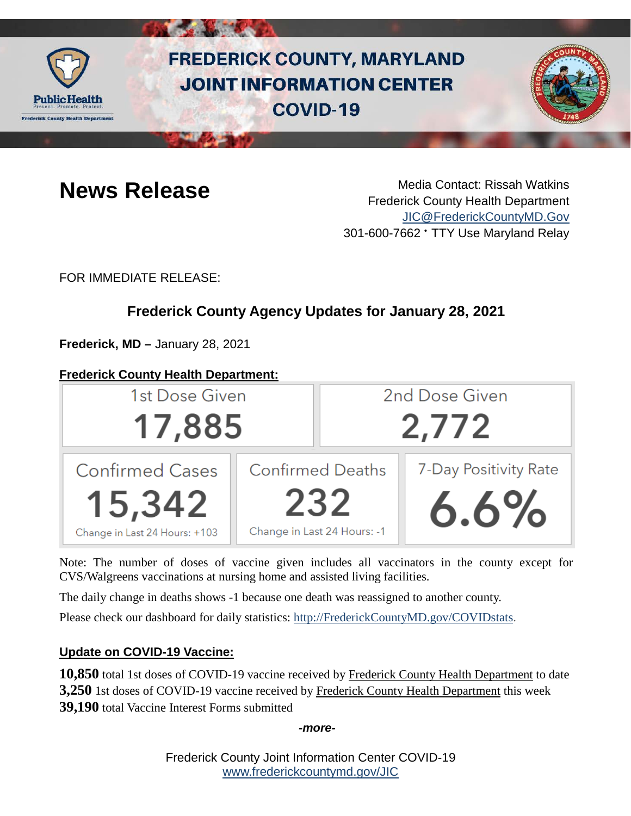

# **FREDERICK COUNTY, MARYLAND JOINT INFORMATION CENTER COVID-19**



**News Release** Media Contact: Rissah Watkins Frederick County Health Department [JIC@FrederickCountyMD.Gov](mailto:JIC@FrederickCountyMD.Gov) 301-600-7662 • TTY Use Maryland Relay

FOR IMMEDIATE RELEASE:

# **Frederick County Agency Updates for January 28, 2021**

**Frederick, MD –** January 28, 2021

# **Frederick County Health Department:**



Note: The number of doses of vaccine given includes all vaccinators in the county except for CVS/Walgreens vaccinations at nursing home and assisted living facilities.

The daily change in deaths shows -1 because one death was reassigned to another county.

Please check our dashboard for daily statistics: [http://FrederickCountyMD.gov/COVIDstats.](http://frederickcountymd.gov/COVIDstats)

# **Update on COVID-19 Vaccine:**

**10,850** total 1st doses of COVID-19 vaccine received by Frederick County Health Department to date **3,250** 1st doses of COVID-19 vaccine received by Frederick County Health Department this week **39,190** total Vaccine Interest Forms submitted

*-more-*

Frederick County Joint Information Center COVID-19 [www.frederickcountymd.gov/JIC](https://frederickcountymd.gov/JIC)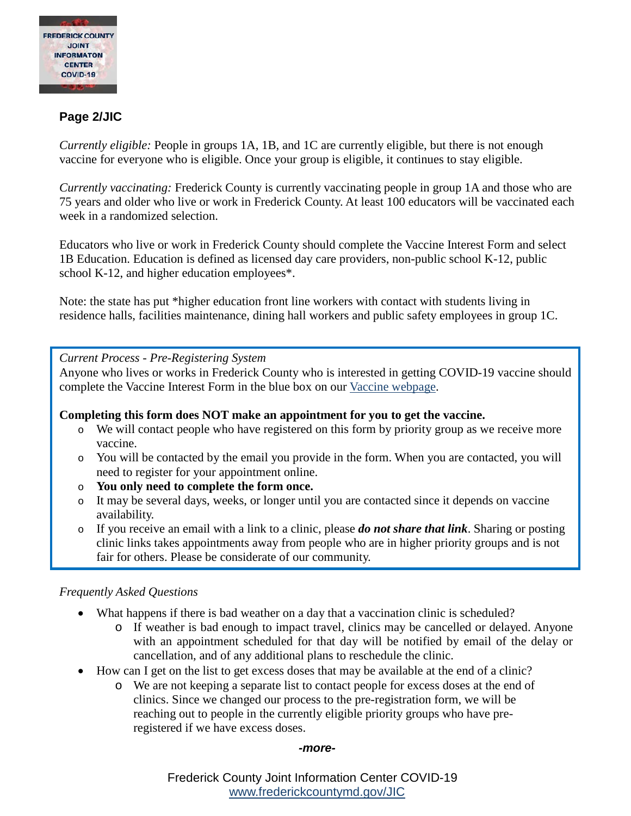

### **Page 2/JIC**

*Currently eligible:* People in groups 1A, 1B, and 1C are currently eligible, but there is not enough vaccine for everyone who is eligible. Once your group is eligible, it continues to stay eligible.

*Currently vaccinating:* Frederick County is currently vaccinating people in group 1A and those who are 75 years and older who live or work in Frederick County. At least 100 educators will be vaccinated each week in a randomized selection.

Educators who live or work in Frederick County should complete the Vaccine Interest Form and select 1B Education. Education is defined as licensed day care providers, non-public school K-12, public school K-12, and higher education employees\*.

Note: the state has put \*higher education front line workers with contact with students living in residence halls, facilities maintenance, dining hall workers and public safety employees in group 1C.

#### *Current Process - Pre-Registering System*

Anyone who lives or works in Frederick County who is interested in getting COVID-19 vaccine should complete the Vaccine Interest Form in the blue box on our [Vaccine webpage.](https://health.frederickcountymd.gov/629/COVID-19-Vaccine)

#### **Completing this form does NOT make an appointment for you to get the vaccine.**

- o We will contact people who have registered on this form by priority group as we receive more vaccine.
- o You will be contacted by the email you provide in the form. When you are contacted, you will need to register for your appointment online.
- o **You only need to complete the form once.**
- o It may be several days, weeks, or longer until you are contacted since it depends on vaccine availability.
- o If you receive an email with a link to a clinic, please *do not share that link*. Sharing or posting clinic links takes appointments away from people who are in higher priority groups and is not fair for others. Please be considerate of our community.

#### *Frequently Asked Questions*

- What happens if there is bad weather on a day that a vaccination clinic is scheduled?
	- o If weather is bad enough to impact travel, clinics may be cancelled or delayed. Anyone with an appointment scheduled for that day will be notified by email of the delay or cancellation, and of any additional plans to reschedule the clinic.
- How can I get on the list to get excess doses that may be available at the end of a clinic?
	- o We are not keeping a separate list to contact people for excess doses at the end of clinics. Since we changed our process to the pre-registration form, we will be reaching out to people in the currently eligible priority groups who have preregistered if we have excess doses.

#### *-more-*

Frederick County Joint Information Center COVID-19 [www.frederickcountymd.gov/JIC](https://frederickcountymd.gov/JIC)